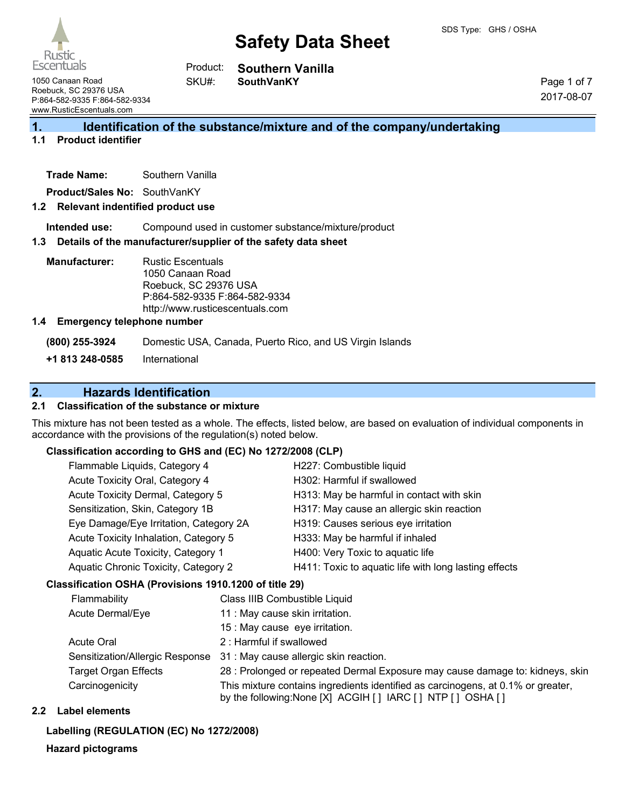#### **Southern Vanilla SouthVanKY** Product:

Page 1 of 7 2017-08-07

1050 Canaan Road Roebuck, SC 29376 USA P:864-582-9335 F:864-582-9334 www.RusticEscentuals.com

**1. Identification of the substance/mixture and of the company/undertaking**

#### **1.1 Product identifier**

**Trade Name:** Southern Vanilla

**Product/Sales No:** SouthVanKY

#### **1.2 Relevant indentified product use**

**Intended use:** Compound used in customer substance/mixture/product

#### **1.3 Details of the manufacturer/supplier of the safety data sheet**

SKU#:

**Manufacturer:** Rustic Escentuals 1050 Canaan Road Roebuck, SC 29376 USA P:864-582-9335 F:864-582-9334 http://www.rusticescentuals.com

#### **1.4 Emergency telephone number**

**(800) 255-3924** Domestic USA, Canada, Puerto Rico, and US Virgin Islands

**+1 813 248-0585** International

### **2. Hazards Identification**

#### **2.1 Classification of the substance or mixture**

This mixture has not been tested as a whole. The effects, listed below, are based on evaluation of individual components in accordance with the provisions of the regulation(s) noted below.

#### **Classification according to GHS and (EC) No 1272/2008 (CLP)**

| Flammable Liquids, Category 4          | H227: Combustible liquid                              |
|----------------------------------------|-------------------------------------------------------|
| Acute Toxicity Oral, Category 4        | H302: Harmful if swallowed                            |
| Acute Toxicity Dermal, Category 5      | H313: May be harmful in contact with skin             |
| Sensitization, Skin, Category 1B       | H317: May cause an allergic skin reaction             |
| Eye Damage/Eye Irritation, Category 2A | H319: Causes serious eye irritation                   |
| Acute Toxicity Inhalation, Category 5  | H333: May be harmful if inhaled                       |
| Aquatic Acute Toxicity, Category 1     | H400: Very Toxic to aquatic life                      |
| Aquatic Chronic Toxicity, Category 2   | H411: Toxic to aquatic life with long lasting effects |
|                                        |                                                       |

#### **Classification OSHA (Provisions 1910.1200 of title 29)**

| Flammability                | Class IIIB Combustible Liquid                                                                                                                  |
|-----------------------------|------------------------------------------------------------------------------------------------------------------------------------------------|
| Acute Dermal/Eye            | 11 : May cause skin irritation.                                                                                                                |
|                             | 15 : May cause eye irritation.                                                                                                                 |
| <b>Acute Oral</b>           | 2: Harmful if swallowed                                                                                                                        |
|                             | Sensitization/Allergic Response 31: May cause allergic skin reaction.                                                                          |
| <b>Target Organ Effects</b> | 28 : Prolonged or repeated Dermal Exposure may cause damage to: kidneys, skin                                                                  |
| Carcinogenicity             | This mixture contains ingredients identified as carcinogens, at 0.1% or greater,<br>by the following: None [X] ACGIH [] IARC [] NTP [] OSHA [] |

#### **2.2 Label elements**

#### **Labelling (REGULATION (EC) No 1272/2008)**

**Hazard pictograms**

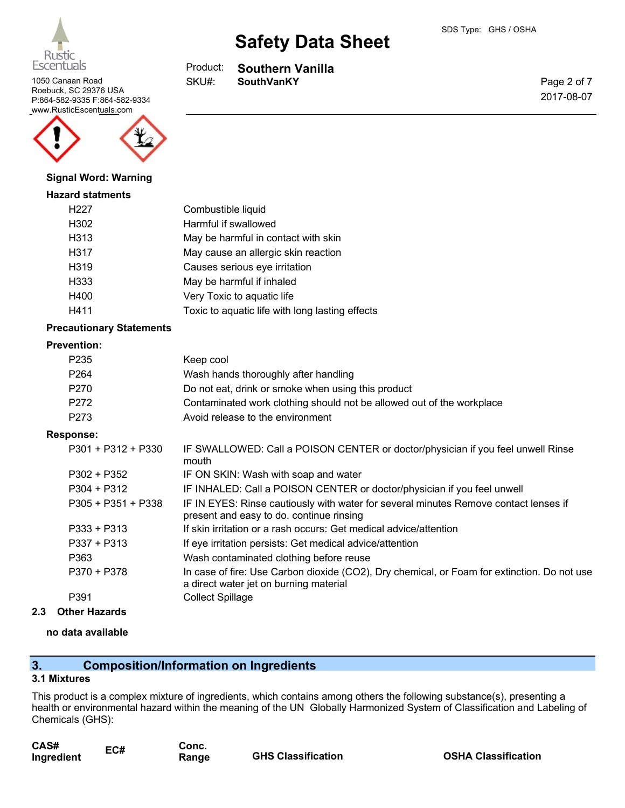

**Southern Vanilla** Product:

1050 Canaan Road **SKU#:** SouthVanKY SKU#:

Page 2 of 7 2017-08-07



#### **Signal Word: Warning**

#### **Hazard statments**

| H <sub>227</sub> | Combustible liquid                              |
|------------------|-------------------------------------------------|
| H302             | Harmful if swallowed                            |
| H313             | May be harmful in contact with skin             |
| H317             | May cause an allergic skin reaction             |
| H319             | Causes serious eye irritation                   |
| H333             | May be harmful if inhaled                       |
| H400             | Very Toxic to aquatic life                      |
| H411             | Toxic to aquatic life with long lasting effects |

#### **Precautionary Statements**

#### **Prevention:**

| P <sub>235</sub> | Keep cool                                                             |
|------------------|-----------------------------------------------------------------------|
| P <sub>264</sub> | Wash hands thoroughly after handling                                  |
| P <sub>270</sub> | Do not eat, drink or smoke when using this product                    |
| P272             | Contaminated work clothing should not be allowed out of the workplace |
| P273             | Avoid release to the environment                                      |

#### **Response:**

| P301 + P312 + P330   | IF SWALLOWED: Call a POISON CENTER or doctor/physician if you feel unwell Rinse<br>mouth                                              |
|----------------------|---------------------------------------------------------------------------------------------------------------------------------------|
| P302 + P352          | IF ON SKIN: Wash with soap and water                                                                                                  |
| P304 + P312          | IF INHALED: Call a POISON CENTER or doctor/physician if you feel unwell                                                               |
| $P305 + P351 + P338$ | IF IN EYES: Rinse cautiously with water for several minutes Remove contact lenses if<br>present and easy to do. continue rinsing      |
| P333 + P313          | If skin irritation or a rash occurs: Get medical advice/attention                                                                     |
| P337 + P313          | If eye irritation persists: Get medical advice/attention                                                                              |
| P363                 | Wash contaminated clothing before reuse                                                                                               |
| P370 + P378          | In case of fire: Use Carbon dioxide (CO2), Dry chemical, or Foam for extinction. Do not use<br>a direct water jet on burning material |
| P391                 | <b>Collect Spillage</b>                                                                                                               |
|                      |                                                                                                                                       |

**2.3 Other Hazards**

#### **no data available**

### **3. Composition/Information on Ingredients**

#### **3.1 Mixtures**

This product is a complex mixture of ingredients, which contains among others the following substance(s), presenting a health or environmental hazard within the meaning of the UN Globally Harmonized System of Classification and Labeling of Chemicals (GHS):

| CAS#       | EC# | Conc. |                           |
|------------|-----|-------|---------------------------|
| Ingredient |     | Range | <b>GHS Classification</b> |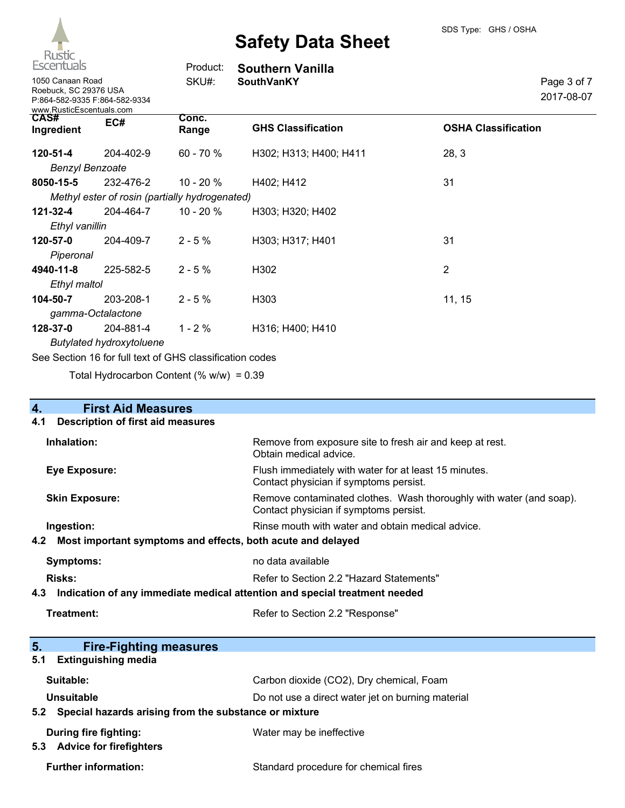

| Escentuals                                                            |                                                          | Product:       | <b>Southern Vanilla</b>   |                            |
|-----------------------------------------------------------------------|----------------------------------------------------------|----------------|---------------------------|----------------------------|
| 1050 Canaan Road<br>Roebuck, SC 29376 USA<br>www.RusticEscentuals.com | P:864-582-9335 F:864-582-9334                            | SKU#:          | <b>SouthVanKY</b>         | Page 3 of 7<br>2017-08-07  |
| <b>CAS#</b><br>Ingredient                                             | EC#                                                      | Conc.<br>Range | <b>GHS Classification</b> | <b>OSHA Classification</b> |
| $120 - 51 - 4$                                                        | 204-402-9                                                | $60 - 70%$     | H302; H313; H400; H411    | 28, 3                      |
| <b>Benzyl Benzoate</b>                                                |                                                          |                |                           |                            |
| 8050-15-5                                                             | 232-476-2                                                | $10 - 20 \%$   | H402; H412                | 31                         |
|                                                                       | Methyl ester of rosin (partially hydrogenated)           |                |                           |                            |
| 121-32-4                                                              | 204-464-7                                                | 10 - 20 $%$    | H303; H320; H402          |                            |
| Ethyl vanillin                                                        |                                                          |                |                           |                            |
| 120-57-0                                                              | 204-409-7                                                | $2 - 5%$       | H303; H317; H401          | 31                         |
| Piperonal                                                             |                                                          |                |                           |                            |
| 4940-11-8                                                             | 225-582-5                                                | $2 - 5%$       | H302                      | 2                          |
| Ethyl maltol                                                          |                                                          |                |                           |                            |
| 104-50-7                                                              | 203-208-1                                                | $2 - 5%$       | H303                      | 11, 15                     |
|                                                                       | gamma-Octalactone                                        |                |                           |                            |
| 128-37-0                                                              | 204-881-4                                                | $1 - 2%$       | H316; H400; H410          |                            |
|                                                                       | <b>Butylated hydroxytoluene</b>                          |                |                           |                            |
|                                                                       | See Section 16 for full text of GHS classification codes |                |                           |                            |

Total Hydrocarbon Content  $(\% w/w) = 0.39$ 

| 4.<br><b>First Aid Measures</b>                                                   |                                                                                                               |  |
|-----------------------------------------------------------------------------------|---------------------------------------------------------------------------------------------------------------|--|
| <b>Description of first aid measures</b><br>4.1                                   |                                                                                                               |  |
| Inhalation:                                                                       | Remove from exposure site to fresh air and keep at rest.<br>Obtain medical advice.                            |  |
| Eye Exposure:                                                                     | Flush immediately with water for at least 15 minutes.<br>Contact physician if symptoms persist.               |  |
| <b>Skin Exposure:</b>                                                             | Remove contaminated clothes. Wash thoroughly with water (and soap).<br>Contact physician if symptoms persist. |  |
| Ingestion:                                                                        | Rinse mouth with water and obtain medical advice.                                                             |  |
| Most important symptoms and effects, both acute and delayed<br>4.2                |                                                                                                               |  |
| <b>Symptoms:</b>                                                                  | no data available                                                                                             |  |
| <b>Risks:</b>                                                                     | Refer to Section 2.2 "Hazard Statements"                                                                      |  |
| Indication of any immediate medical attention and special treatment needed<br>4.3 |                                                                                                               |  |
| Treatment:                                                                        | Refer to Section 2.2 "Response"                                                                               |  |
|                                                                                   |                                                                                                               |  |
| 5.<br><b>Fire-Fighting measures</b>                                               |                                                                                                               |  |
| <b>Extinguishing media</b><br>5.1                                                 |                                                                                                               |  |
| Suitable:                                                                         | Carbon dioxide (CO2), Dry chemical, Foam                                                                      |  |

Unsuitable **Unsuitable** Do not use a direct water jet on burning material

### **5.2 Special hazards arising from the substance or mixture**

| During fire fighting:       | Water may be ineffective              |  |  |
|-----------------------------|---------------------------------------|--|--|
| 5.3 Advice for firefighters |                                       |  |  |
| <b>Further information:</b> | Standard procedure for chemical fires |  |  |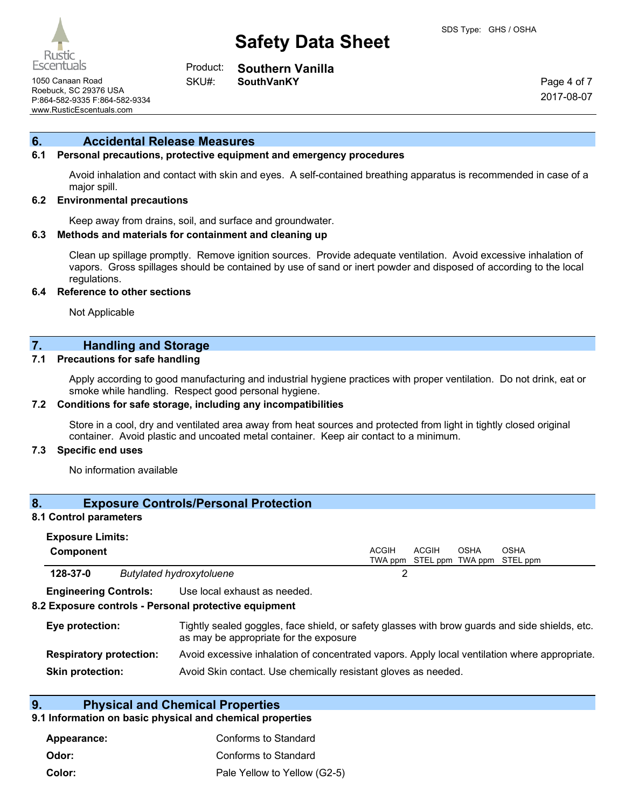

#### **Southern Vanilla** Product:

SKU#:

1050 Canaan Road **SouthVanKY** Roebuck, SC 29376 USA P:864-582-9335 F:864-582-9334 www.RusticEscentuals.com

Page 4 of 7 2017-08-07

#### **6. Accidental Release Measures**

#### **6.1 Personal precautions, protective equipment and emergency procedures**

Avoid inhalation and contact with skin and eyes. A self-contained breathing apparatus is recommended in case of a major spill.

#### **6.2 Environmental precautions**

Keep away from drains, soil, and surface and groundwater.

#### **6.3 Methods and materials for containment and cleaning up**

Clean up spillage promptly. Remove ignition sources. Provide adequate ventilation. Avoid excessive inhalation of vapors. Gross spillages should be contained by use of sand or inert powder and disposed of according to the local regulations.

#### **6.4 Reference to other sections**

Not Applicable

#### **7. Handling and Storage**

#### **7.1 Precautions for safe handling**

Apply according to good manufacturing and industrial hygiene practices with proper ventilation. Do not drink, eat or smoke while handling. Respect good personal hygiene.

#### **7.2 Conditions for safe storage, including any incompatibilities**

Store in a cool, dry and ventilated area away from heat sources and protected from light in tightly closed original container. Avoid plastic and uncoated metal container. Keep air contact to a minimum.

#### **7.3 Specific end uses**

No information available

#### **8. Exposure Controls/Personal Protection**

#### **8.1 Control parameters**

| <b>Exposure Limits:</b>        |                                                                                                                                          |       |              |      |                                   |
|--------------------------------|------------------------------------------------------------------------------------------------------------------------------------------|-------|--------------|------|-----------------------------------|
| <b>Component</b>               |                                                                                                                                          | ACGIH | <b>ACGIH</b> | OSHA | <b>OSHA</b>                       |
|                                |                                                                                                                                          |       |              |      | TWA ppm STEL ppm TWA ppm STEL ppm |
| 128-37-0                       | <b>Butylated hydroxytoluene</b>                                                                                                          | 2     |              |      |                                   |
| <b>Engineering Controls:</b>   | Use local exhaust as needed.                                                                                                             |       |              |      |                                   |
|                                | 8.2 Exposure controls - Personal protective equipment                                                                                    |       |              |      |                                   |
| Eye protection:                | Tightly sealed goggles, face shield, or safety glasses with brow guards and side shields, etc.<br>as may be appropriate for the exposure |       |              |      |                                   |
| <b>Respiratory protection:</b> | Avoid excessive inhalation of concentrated vapors. Apply local ventilation where appropriate.                                            |       |              |      |                                   |
| <b>Skin protection:</b>        | Avoid Skin contact. Use chemically resistant gloves as needed.                                                                           |       |              |      |                                   |

#### **9. Physical and Chemical Properties**

#### **9.1 Information on basic physical and chemical properties**

| Appearance: | Conforms to Standard         |
|-------------|------------------------------|
| Odor:       | Conforms to Standard         |
| Color:      | Pale Yellow to Yellow (G2-5) |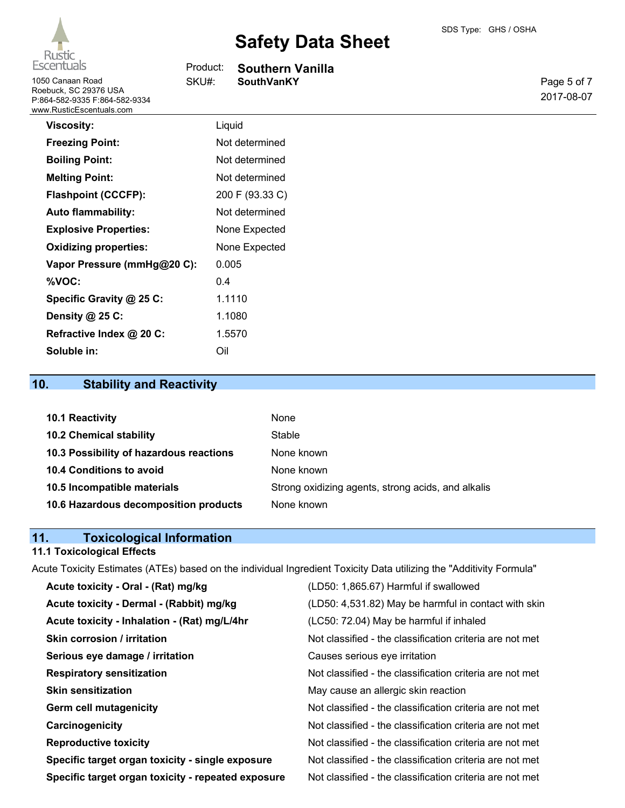1050 Canaan Road Roebuck, SC 29376 USA

# **Safety Data Sheet**

Product: SKU#:

|  | SDS Type: GHS / OSHA |
|--|----------------------|
|--|----------------------|

| <b>Southern Vanilla</b> |  |  |
|-------------------------|--|--|
| <b>SouthVanKY</b>       |  |  |
|                         |  |  |

Page 5 of 7 2017-08-07

| P:864-582-9335 F:864-582-9334<br>www.RusticEscentuals.com |                 |
|-----------------------------------------------------------|-----------------|
| <b>Viscosity:</b>                                         | Liquid          |
| <b>Freezing Point:</b>                                    | Not determined  |
| <b>Boiling Point:</b>                                     | Not determined  |
| <b>Melting Point:</b>                                     | Not determined  |
| <b>Flashpoint (CCCFP):</b>                                | 200 F (93.33 C) |
| <b>Auto flammability:</b>                                 | Not determined  |

| <b>Explosive Properties:</b> | None Expected |
|------------------------------|---------------|
| <b>Oxidizing properties:</b> | None Expected |
| Vapor Pressure (mmHg@20 C):  | 0.005         |
| %VOC:                        | 04            |
| Specific Gravity @ 25 C:     | 1.1110        |
| Density @ 25 C:              | 1.1080        |
| Refractive Index @ 20 C:     | 1.5570        |
| Soluble in:                  | Oil           |

# **10. Stability and Reactivity**

| 10.1 Reactivity                         | None                                               |
|-----------------------------------------|----------------------------------------------------|
| <b>10.2 Chemical stability</b>          | Stable                                             |
| 10.3 Possibility of hazardous reactions | None known                                         |
| <b>10.4 Conditions to avoid</b>         | None known                                         |
| 10.5 Incompatible materials             | Strong oxidizing agents, strong acids, and alkalis |
| 10.6 Hazardous decomposition products   | None known                                         |

### **11. Toxicological Information**

### **11.1 Toxicological Effects**

Acute Toxicity Estimates (ATEs) based on the individual Ingredient Toxicity Data utilizing the "Additivity Formula"

| Acute toxicity - Oral - (Rat) mg/kg                | (LD50: 1,865.67) Harmful if swallowed                    |
|----------------------------------------------------|----------------------------------------------------------|
| Acute toxicity - Dermal - (Rabbit) mg/kg           | (LD50: 4,531.82) May be harmful in contact with skin     |
| Acute toxicity - Inhalation - (Rat) mg/L/4hr       | (LC50: 72.04) May be harmful if inhaled                  |
| <b>Skin corrosion / irritation</b>                 | Not classified - the classification criteria are not met |
| Serious eye damage / irritation                    | Causes serious eye irritation                            |
| <b>Respiratory sensitization</b>                   | Not classified - the classification criteria are not met |
| <b>Skin sensitization</b>                          | May cause an allergic skin reaction                      |
| <b>Germ cell mutagenicity</b>                      | Not classified - the classification criteria are not met |
| Carcinogenicity                                    | Not classified - the classification criteria are not met |
| <b>Reproductive toxicity</b>                       | Not classified - the classification criteria are not met |
| Specific target organ toxicity - single exposure   | Not classified - the classification criteria are not met |
| Specific target organ toxicity - repeated exposure | Not classified - the classification criteria are not met |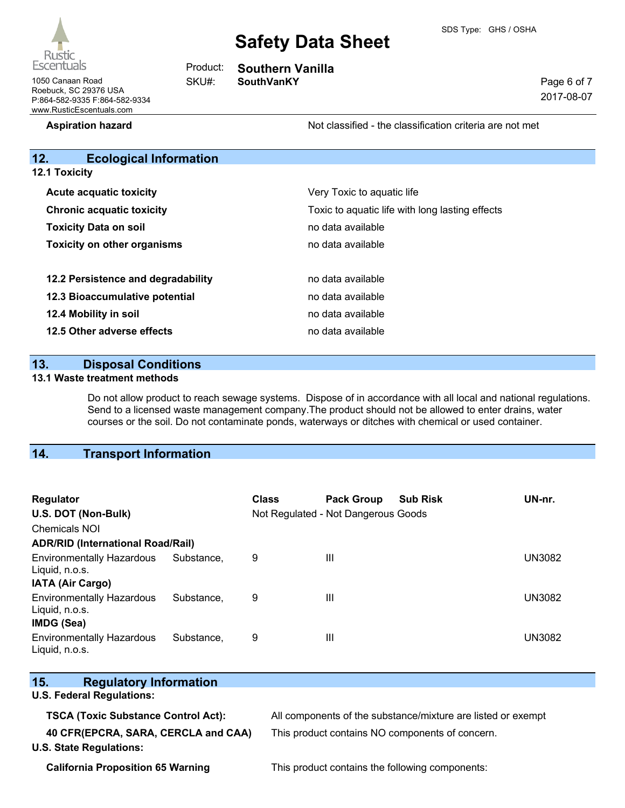

| Page 6 of 7 |
|-------------|
| 2017-08-07  |

1050 Canaan Road **SKU#:** SouthVanKY Roebuck, SC 29376 USA P:864-582-9335 F:864-582-9334 www.RusticEscentuals.com

# **Southern Vanilla**

SKU#:

Product:

**Aspiration hazard Not classified - the classification criteria are not met** Not classified - the classification criteria are not met

### **12. Ecological Information**

| <b>12.1 Toxicity</b>               |                                                 |  |  |  |
|------------------------------------|-------------------------------------------------|--|--|--|
| <b>Acute acquatic toxicity</b>     | Very Toxic to aquatic life                      |  |  |  |
| <b>Chronic acquatic toxicity</b>   | Toxic to aquatic life with long lasting effects |  |  |  |
| <b>Toxicity Data on soil</b>       | no data available                               |  |  |  |
| <b>Toxicity on other organisms</b> | no data available                               |  |  |  |
| 12.2 Persistence and degradability | no data available                               |  |  |  |
| 12.3 Bioaccumulative potential     | no data available                               |  |  |  |
| 12.4 Mobility in soil              | no data available                               |  |  |  |
| 12.5 Other adverse effects         | no data available                               |  |  |  |

### **13. Disposal Conditions**

#### **13.1 Waste treatment methods**

Do not allow product to reach sewage systems. Dispose of in accordance with all local and national regulations. Send to a licensed waste management company.The product should not be allowed to enter drains, water courses or the soil. Do not contaminate ponds, waterways or ditches with chemical or used container.

# **14. Transport Information**

| <b>Regulator</b><br>U.S. DOT (Non-Bulk)<br><b>Chemicals NOI</b> |            | <b>Class</b> | <b>Pack Group</b><br>Not Regulated - Not Dangerous Goods | <b>Sub Risk</b> | UN-nr.        |
|-----------------------------------------------------------------|------------|--------------|----------------------------------------------------------|-----------------|---------------|
| <b>ADR/RID (International Road/Rail)</b>                        |            |              |                                                          |                 |               |
| <b>Environmentally Hazardous</b><br>Liquid, n.o.s.              | Substance. | 9            | Ш                                                        |                 | <b>UN3082</b> |
| IATA (Air Cargo)                                                |            |              |                                                          |                 |               |
| <b>Environmentally Hazardous</b><br>Liquid, n.o.s.              | Substance. | 9            | Ш                                                        |                 | <b>UN3082</b> |
| <b>IMDG (Sea)</b>                                               |            |              |                                                          |                 |               |
| <b>Environmentally Hazardous</b><br>Liquid, n.o.s.              | Substance. | 9            | $\mathbf{  }$                                            |                 | <b>UN3082</b> |

| 15.<br><b>Regulatory Information</b>       |                                                              |
|--------------------------------------------|--------------------------------------------------------------|
| <b>U.S. Federal Regulations:</b>           |                                                              |
| <b>TSCA (Toxic Substance Control Act):</b> | All components of the substance/mixture are listed or exempt |
| 40 CFR(EPCRA, SARA, CERCLA and CAA)        | This product contains NO components of concern.              |
| <b>U.S. State Regulations:</b>             |                                                              |

**California Proposition 65 Warning** This product contains the following components: